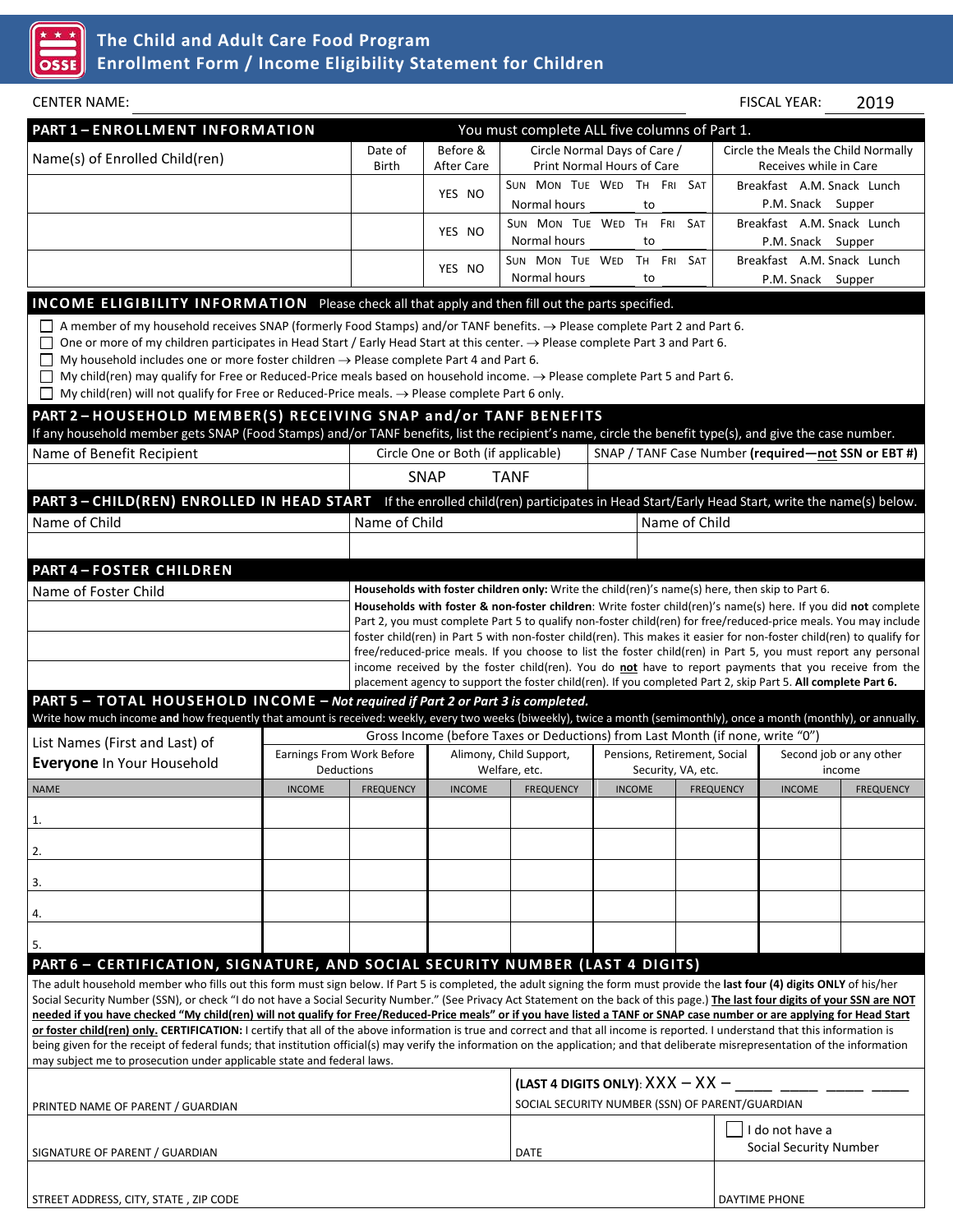

| <b>CENTER NAME:</b>                                                                                                                                                                                                                                                                                                                                                                                                                                                                                                                                                                                                                                                                                                                                                                                                                                                                                                                                                                             |                                                                                                                                                                                                                                                                                                                                                                                                                                                                                                                                                                                                                                                                                         |                                                |                        |                                                                                                               |                                                                                       |                  |  | <b>FISCAL YEAR:</b>                                           | 2019             |  |
|-------------------------------------------------------------------------------------------------------------------------------------------------------------------------------------------------------------------------------------------------------------------------------------------------------------------------------------------------------------------------------------------------------------------------------------------------------------------------------------------------------------------------------------------------------------------------------------------------------------------------------------------------------------------------------------------------------------------------------------------------------------------------------------------------------------------------------------------------------------------------------------------------------------------------------------------------------------------------------------------------|-----------------------------------------------------------------------------------------------------------------------------------------------------------------------------------------------------------------------------------------------------------------------------------------------------------------------------------------------------------------------------------------------------------------------------------------------------------------------------------------------------------------------------------------------------------------------------------------------------------------------------------------------------------------------------------------|------------------------------------------------|------------------------|---------------------------------------------------------------------------------------------------------------|---------------------------------------------------------------------------------------|------------------|--|---------------------------------------------------------------|------------------|--|
| PART 1-ENROLLMENT INFORMATION                                                                                                                                                                                                                                                                                                                                                                                                                                                                                                                                                                                                                                                                                                                                                                                                                                                                                                                                                                   |                                                                                                                                                                                                                                                                                                                                                                                                                                                                                                                                                                                                                                                                                         |                                                |                        | You must complete ALL five columns of Part 1.                                                                 |                                                                                       |                  |  |                                                               |                  |  |
| Name(s) of Enrolled Child(ren)                                                                                                                                                                                                                                                                                                                                                                                                                                                                                                                                                                                                                                                                                                                                                                                                                                                                                                                                                                  |                                                                                                                                                                                                                                                                                                                                                                                                                                                                                                                                                                                                                                                                                         | Date of<br>Birth                               | Before &<br>After Care |                                                                                                               | Circle Normal Days of Care /<br>Print Normal Hours of Care                            |                  |  | Circle the Meals the Child Normally<br>Receives while in Care |                  |  |
|                                                                                                                                                                                                                                                                                                                                                                                                                                                                                                                                                                                                                                                                                                                                                                                                                                                                                                                                                                                                 |                                                                                                                                                                                                                                                                                                                                                                                                                                                                                                                                                                                                                                                                                         |                                                | YES NO                 | SUN MON TUE WED TH FRI SAT<br>Normal hours                                                                    |                                                                                       | to               |  | Breakfast A.M. Snack Lunch<br>P.M. Snack Supper               |                  |  |
|                                                                                                                                                                                                                                                                                                                                                                                                                                                                                                                                                                                                                                                                                                                                                                                                                                                                                                                                                                                                 |                                                                                                                                                                                                                                                                                                                                                                                                                                                                                                                                                                                                                                                                                         |                                                | YES NO                 | SUN MON TUE WED TH FRI<br>Normal hours                                                                        |                                                                                       | <b>SAT</b><br>to |  | Breakfast A.M. Snack Lunch<br>P.M. Snack Supper               |                  |  |
|                                                                                                                                                                                                                                                                                                                                                                                                                                                                                                                                                                                                                                                                                                                                                                                                                                                                                                                                                                                                 |                                                                                                                                                                                                                                                                                                                                                                                                                                                                                                                                                                                                                                                                                         |                                                | YES NO                 | SUN MON TUE WED<br>Normal hours                                                                               |                                                                                       | TH FRI SAT<br>to |  | Breakfast A.M. Snack Lunch<br>P.M. Snack Supper               |                  |  |
| <b>INCOME ELIGIBILITY INFORMATION</b> Please check all that apply and then fill out the parts specified.                                                                                                                                                                                                                                                                                                                                                                                                                                                                                                                                                                                                                                                                                                                                                                                                                                                                                        |                                                                                                                                                                                                                                                                                                                                                                                                                                                                                                                                                                                                                                                                                         |                                                |                        |                                                                                                               |                                                                                       |                  |  |                                                               |                  |  |
| A member of my household receives SNAP (formerly Food Stamps) and/or TANF benefits. $\rightarrow$ Please complete Part 2 and Part 6.<br>One or more of my children participates in Head Start / Early Head Start at this center. → Please complete Part 3 and Part 6.<br>My household includes one or more foster children $\rightarrow$ Please complete Part 4 and Part 6.<br>My child(ren) may qualify for Free or Reduced-Price meals based on household income. $\rightarrow$ Please complete Part 5 and Part 6.<br>$\Box$<br>My child(ren) will not qualify for Free or Reduced-Price meals. $\rightarrow$ Please complete Part 6 only.<br>PART 2-HOUSEHOLD MEMBER(S) RECEIVING SNAP and/or TANF BENEFITS                                                                                                                                                                                                                                                                                  |                                                                                                                                                                                                                                                                                                                                                                                                                                                                                                                                                                                                                                                                                         |                                                |                        |                                                                                                               |                                                                                       |                  |  |                                                               |                  |  |
| If any household member gets SNAP (Food Stamps) and/or TANF benefits, list the recipient's name, circle the benefit type(s), and give the case number.                                                                                                                                                                                                                                                                                                                                                                                                                                                                                                                                                                                                                                                                                                                                                                                                                                          |                                                                                                                                                                                                                                                                                                                                                                                                                                                                                                                                                                                                                                                                                         |                                                |                        |                                                                                                               |                                                                                       |                  |  |                                                               |                  |  |
| Name of Benefit Recipient                                                                                                                                                                                                                                                                                                                                                                                                                                                                                                                                                                                                                                                                                                                                                                                                                                                                                                                                                                       |                                                                                                                                                                                                                                                                                                                                                                                                                                                                                                                                                                                                                                                                                         | Circle One or Both (if applicable)             |                        | SNAP / TANF Case Number (required-not SSN or EBT#)                                                            |                                                                                       |                  |  |                                                               |                  |  |
|                                                                                                                                                                                                                                                                                                                                                                                                                                                                                                                                                                                                                                                                                                                                                                                                                                                                                                                                                                                                 |                                                                                                                                                                                                                                                                                                                                                                                                                                                                                                                                                                                                                                                                                         |                                                | <b>SNAP</b>            | <b>TANF</b>                                                                                                   |                                                                                       |                  |  |                                                               |                  |  |
| PART 3 - CHILD(REN) ENROLLED IN HEAD START If the enrolled child(ren) participates in Head Start/Early Head Start, write the name(s) below.                                                                                                                                                                                                                                                                                                                                                                                                                                                                                                                                                                                                                                                                                                                                                                                                                                                     |                                                                                                                                                                                                                                                                                                                                                                                                                                                                                                                                                                                                                                                                                         |                                                |                        |                                                                                                               |                                                                                       |                  |  |                                                               |                  |  |
| Name of Child                                                                                                                                                                                                                                                                                                                                                                                                                                                                                                                                                                                                                                                                                                                                                                                                                                                                                                                                                                                   |                                                                                                                                                                                                                                                                                                                                                                                                                                                                                                                                                                                                                                                                                         | Name of Child                                  |                        |                                                                                                               | Name of Child                                                                         |                  |  |                                                               |                  |  |
|                                                                                                                                                                                                                                                                                                                                                                                                                                                                                                                                                                                                                                                                                                                                                                                                                                                                                                                                                                                                 |                                                                                                                                                                                                                                                                                                                                                                                                                                                                                                                                                                                                                                                                                         |                                                |                        |                                                                                                               |                                                                                       |                  |  |                                                               |                  |  |
| <b>PART 4-FOSTER CHILDREN</b>                                                                                                                                                                                                                                                                                                                                                                                                                                                                                                                                                                                                                                                                                                                                                                                                                                                                                                                                                                   |                                                                                                                                                                                                                                                                                                                                                                                                                                                                                                                                                                                                                                                                                         |                                                |                        |                                                                                                               |                                                                                       |                  |  |                                                               |                  |  |
| Name of Foster Child                                                                                                                                                                                                                                                                                                                                                                                                                                                                                                                                                                                                                                                                                                                                                                                                                                                                                                                                                                            | Households with foster children only: Write the child(ren)'s name(s) here, then skip to Part 6.<br>Households with foster & non-foster children: Write foster child(ren)'s name(s) here. If you did not complete<br>Part 2, you must complete Part 5 to qualify non-foster child(ren) for free/reduced-price meals. You may include<br>foster child(ren) in Part 5 with non-foster child(ren). This makes it easier for non-foster child(ren) to qualify for<br>free/reduced-price meals. If you choose to list the foster child(ren) in Part 5, you must report any personal<br>income received by the foster child(ren). You do not have to report payments that you receive from the |                                                |                        |                                                                                                               |                                                                                       |                  |  |                                                               |                  |  |
| PART 5 - TOTAL HOUSEHOLD INCOME - Not required if Part 2 or Part 3 is completed.                                                                                                                                                                                                                                                                                                                                                                                                                                                                                                                                                                                                                                                                                                                                                                                                                                                                                                                |                                                                                                                                                                                                                                                                                                                                                                                                                                                                                                                                                                                                                                                                                         |                                                |                        | placement agency to support the foster child(ren). If you completed Part 2, skip Part 5. All complete Part 6. |                                                                                       |                  |  |                                                               |                  |  |
| Write how much income and how frequently that amount is received: weekly, every two weeks (biweekly), twice a month (semimonthly), once a month (monthly), or annually.                                                                                                                                                                                                                                                                                                                                                                                                                                                                                                                                                                                                                                                                                                                                                                                                                         |                                                                                                                                                                                                                                                                                                                                                                                                                                                                                                                                                                                                                                                                                         |                                                |                        |                                                                                                               |                                                                                       |                  |  |                                                               |                  |  |
| List Names (First and Last) of                                                                                                                                                                                                                                                                                                                                                                                                                                                                                                                                                                                                                                                                                                                                                                                                                                                                                                                                                                  |                                                                                                                                                                                                                                                                                                                                                                                                                                                                                                                                                                                                                                                                                         |                                                |                        |                                                                                                               | Gross Income (before Taxes or Deductions) from Last Month (if none, write "0")        |                  |  |                                                               |                  |  |
| Everyone In Your Household                                                                                                                                                                                                                                                                                                                                                                                                                                                                                                                                                                                                                                                                                                                                                                                                                                                                                                                                                                      |                                                                                                                                                                                                                                                                                                                                                                                                                                                                                                                                                                                                                                                                                         | Earnings From Work Before<br><b>Deductions</b> |                        | Alimony, Child Support,<br>Welfare, etc.                                                                      | Pensions, Retirement, Social<br>Security, VA, etc.                                    |                  |  | Second job or any other<br>income                             |                  |  |
| NAME                                                                                                                                                                                                                                                                                                                                                                                                                                                                                                                                                                                                                                                                                                                                                                                                                                                                                                                                                                                            | <b>INCOME</b>                                                                                                                                                                                                                                                                                                                                                                                                                                                                                                                                                                                                                                                                           | <b>FREQUENCY</b>                               |                        | INCOME FREQUENCY                                                                                              |                                                                                       | INCOME FREQUENCY |  | <b>INCOME</b>                                                 | <b>FREQUENCY</b> |  |
| 1.                                                                                                                                                                                                                                                                                                                                                                                                                                                                                                                                                                                                                                                                                                                                                                                                                                                                                                                                                                                              |                                                                                                                                                                                                                                                                                                                                                                                                                                                                                                                                                                                                                                                                                         |                                                |                        |                                                                                                               |                                                                                       |                  |  |                                                               |                  |  |
| 2.                                                                                                                                                                                                                                                                                                                                                                                                                                                                                                                                                                                                                                                                                                                                                                                                                                                                                                                                                                                              |                                                                                                                                                                                                                                                                                                                                                                                                                                                                                                                                                                                                                                                                                         |                                                |                        |                                                                                                               |                                                                                       |                  |  |                                                               |                  |  |
|                                                                                                                                                                                                                                                                                                                                                                                                                                                                                                                                                                                                                                                                                                                                                                                                                                                                                                                                                                                                 |                                                                                                                                                                                                                                                                                                                                                                                                                                                                                                                                                                                                                                                                                         |                                                |                        |                                                                                                               |                                                                                       |                  |  |                                                               |                  |  |
| 3.                                                                                                                                                                                                                                                                                                                                                                                                                                                                                                                                                                                                                                                                                                                                                                                                                                                                                                                                                                                              |                                                                                                                                                                                                                                                                                                                                                                                                                                                                                                                                                                                                                                                                                         |                                                |                        |                                                                                                               |                                                                                       |                  |  |                                                               |                  |  |
| 4.                                                                                                                                                                                                                                                                                                                                                                                                                                                                                                                                                                                                                                                                                                                                                                                                                                                                                                                                                                                              |                                                                                                                                                                                                                                                                                                                                                                                                                                                                                                                                                                                                                                                                                         |                                                |                        |                                                                                                               |                                                                                       |                  |  |                                                               |                  |  |
| 5.                                                                                                                                                                                                                                                                                                                                                                                                                                                                                                                                                                                                                                                                                                                                                                                                                                                                                                                                                                                              |                                                                                                                                                                                                                                                                                                                                                                                                                                                                                                                                                                                                                                                                                         |                                                |                        |                                                                                                               |                                                                                       |                  |  |                                                               |                  |  |
| PART 6 - CERTIFICATION, SIGNATURE, AND SOCIAL SECURITY NUMBER (LAST 4 DIGITS)                                                                                                                                                                                                                                                                                                                                                                                                                                                                                                                                                                                                                                                                                                                                                                                                                                                                                                                   |                                                                                                                                                                                                                                                                                                                                                                                                                                                                                                                                                                                                                                                                                         |                                                |                        |                                                                                                               |                                                                                       |                  |  |                                                               |                  |  |
| The adult household member who fills out this form must sign below. If Part 5 is completed, the adult signing the form must provide the last four (4) digits ONLY of his/her<br>Social Security Number (SSN), or check "I do not have a Social Security Number." (See Privacy Act Statement on the back of this page.) The last four digits of your SSN are NOT<br>needed if you have checked "My child(ren) will not qualify for Free/Reduced-Price meals" or if you have listed a TANF or SNAP case number or are applying for Head Start<br>or foster child(ren) only. CERTIFICATION: I certify that all of the above information is true and correct and that all income is reported. I understand that this information is<br>being given for the receipt of federal funds; that institution official(s) may verify the information on the application; and that deliberate misrepresentation of the information<br>may subject me to prosecution under applicable state and federal laws. |                                                                                                                                                                                                                                                                                                                                                                                                                                                                                                                                                                                                                                                                                         |                                                |                        |                                                                                                               |                                                                                       |                  |  |                                                               |                  |  |
|                                                                                                                                                                                                                                                                                                                                                                                                                                                                                                                                                                                                                                                                                                                                                                                                                                                                                                                                                                                                 |                                                                                                                                                                                                                                                                                                                                                                                                                                                                                                                                                                                                                                                                                         |                                                |                        |                                                                                                               | (LAST 4 DIGITS ONLY): $XXX - XX -$<br>SOCIAL SECURITY NUMBER (SSN) OF PARENT/GUARDIAN |                  |  |                                                               |                  |  |
| PRINTED NAME OF PARENT / GUARDIAN                                                                                                                                                                                                                                                                                                                                                                                                                                                                                                                                                                                                                                                                                                                                                                                                                                                                                                                                                               |                                                                                                                                                                                                                                                                                                                                                                                                                                                                                                                                                                                                                                                                                         |                                                |                        |                                                                                                               |                                                                                       |                  |  | I do not have a<br><b>Social Security Number</b>              |                  |  |
| SIGNATURE OF PARENT / GUARDIAN                                                                                                                                                                                                                                                                                                                                                                                                                                                                                                                                                                                                                                                                                                                                                                                                                                                                                                                                                                  |                                                                                                                                                                                                                                                                                                                                                                                                                                                                                                                                                                                                                                                                                         |                                                |                        | <b>DATE</b>                                                                                                   |                                                                                       |                  |  |                                                               |                  |  |
| STREET ADDRESS, CITY, STATE, ZIP CODE                                                                                                                                                                                                                                                                                                                                                                                                                                                                                                                                                                                                                                                                                                                                                                                                                                                                                                                                                           |                                                                                                                                                                                                                                                                                                                                                                                                                                                                                                                                                                                                                                                                                         |                                                |                        |                                                                                                               |                                                                                       |                  |  | <b>DAYTIME PHONE</b>                                          |                  |  |